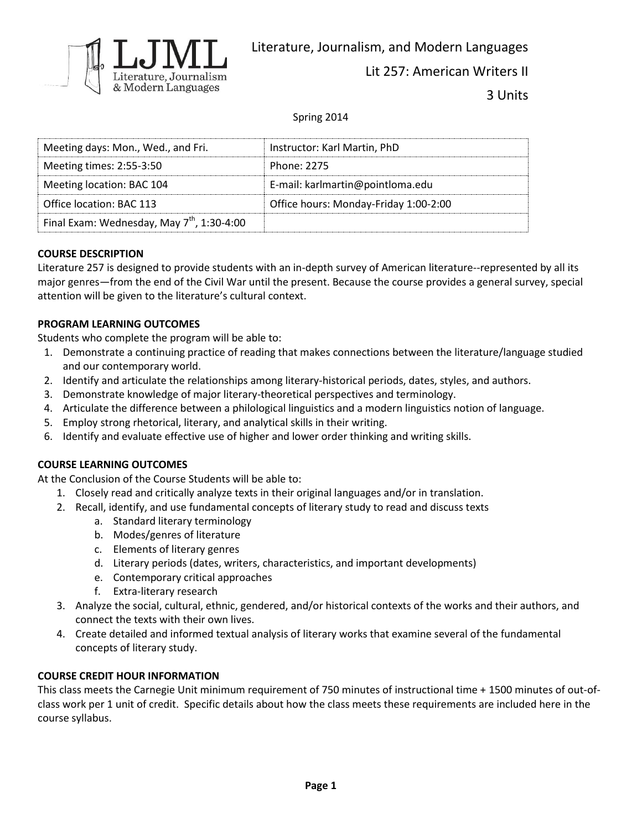

Literature, Journalism, and Modern Languages

Lit 257: American Writers II

3 Units

Spring 2014

| Meeting days: Mon., Wed., and Fri.                     | Instructor: Karl Martin, PhD          |
|--------------------------------------------------------|---------------------------------------|
| Meeting times: 2:55-3:50                               | Phone: 2275                           |
| Meeting location: BAC 104                              | E-mail: karlmartin@pointloma.edu      |
| Office location: BAC 113                               | Office hours: Monday-Friday 1:00-2:00 |
| Final Exam: Wednesday, May 7 <sup>th</sup> , 1:30-4:00 |                                       |

# **COURSE DESCRIPTION**

Literature 257 is designed to provide students with an in-depth survey of American literature--represented by all its major genres—from the end of the Civil War until the present. Because the course provides a general survey, special attention will be given to the literature's cultural context.

## **PROGRAM LEARNING OUTCOMES**

Students who complete the program will be able to:

- 1. Demonstrate a continuing practice of reading that makes connections between the literature/language studied and our contemporary world.
- 2. Identify and articulate the relationships among literary-historical periods, dates, styles, and authors.
- 3. Demonstrate knowledge of major literary-theoretical perspectives and terminology.
- 4. Articulate the difference between a philological linguistics and a modern linguistics notion of language.
- 5. Employ strong rhetorical, literary, and analytical skills in their writing.
- 6. Identify and evaluate effective use of higher and lower order thinking and writing skills.

# **COURSE LEARNING OUTCOMES**

At the Conclusion of the Course Students will be able to:

- 1. Closely read and critically analyze texts in their original languages and/or in translation.
- 2. Recall, identify, and use fundamental concepts of literary study to read and discuss texts
	- a. Standard literary terminology
	- b. Modes/genres of literature
	- c. Elements of literary genres
	- d. Literary periods (dates, writers, characteristics, and important developments)
	- e. Contemporary critical approaches
	- f. Extra-literary research
- 3. Analyze the social, cultural, ethnic, gendered, and/or historical contexts of the works and their authors, and connect the texts with their own lives.
- 4. Create detailed and informed textual analysis of literary works that examine several of the fundamental concepts of literary study.

### **COURSE CREDIT HOUR INFORMATION**

This class meets the Carnegie Unit minimum requirement of 750 minutes of instructional time + 1500 minutes of out-ofclass work per 1 unit of credit. Specific details about how the class meets these requirements are included here in the course syllabus.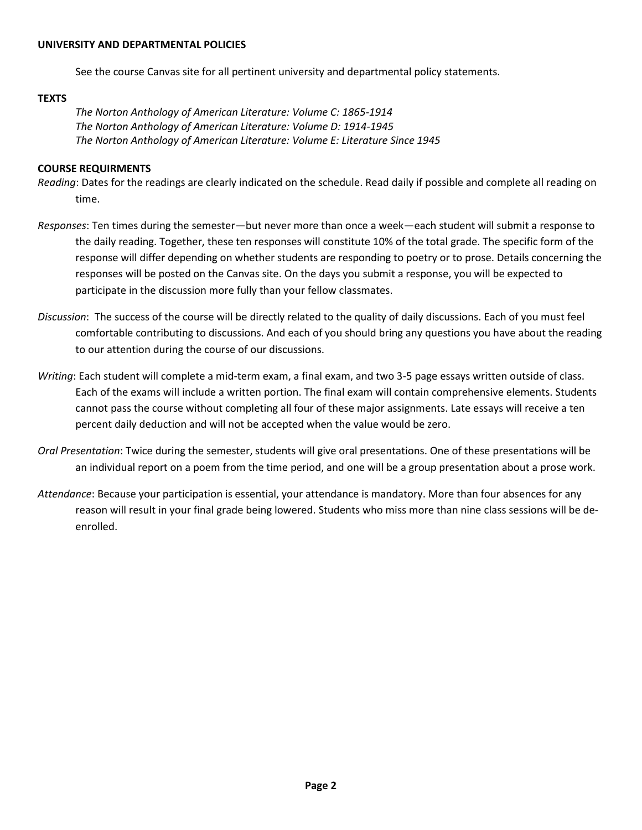#### **UNIVERSITY AND DEPARTMENTAL POLICIES**

See the course Canvas site for all pertinent university and departmental policy statements.

### **TEXTS**

*The Norton Anthology of American Literature: Volume C: 1865-1914 The Norton Anthology of American Literature: Volume D: 1914-1945 The Norton Anthology of American Literature: Volume E: Literature Since 1945*

### **COURSE REQUIRMENTS**

- *Reading*: Dates for the readings are clearly indicated on the schedule. Read daily if possible and complete all reading on time.
- *Responses*: Ten times during the semester—but never more than once a week—each student will submit a response to the daily reading. Together, these ten responses will constitute 10% of the total grade. The specific form of the response will differ depending on whether students are responding to poetry or to prose. Details concerning the responses will be posted on the Canvas site. On the days you submit a response, you will be expected to participate in the discussion more fully than your fellow classmates.
- *Discussion*: The success of the course will be directly related to the quality of daily discussions. Each of you must feel comfortable contributing to discussions. And each of you should bring any questions you have about the reading to our attention during the course of our discussions.
- *Writing*: Each student will complete a mid-term exam, a final exam, and two 3-5 page essays written outside of class. Each of the exams will include a written portion. The final exam will contain comprehensive elements. Students cannot pass the course without completing all four of these major assignments. Late essays will receive a ten percent daily deduction and will not be accepted when the value would be zero.
- *Oral Presentation*: Twice during the semester, students will give oral presentations. One of these presentations will be an individual report on a poem from the time period, and one will be a group presentation about a prose work.
- *Attendance*: Because your participation is essential, your attendance is mandatory. More than four absences for any reason will result in your final grade being lowered. Students who miss more than nine class sessions will be deenrolled.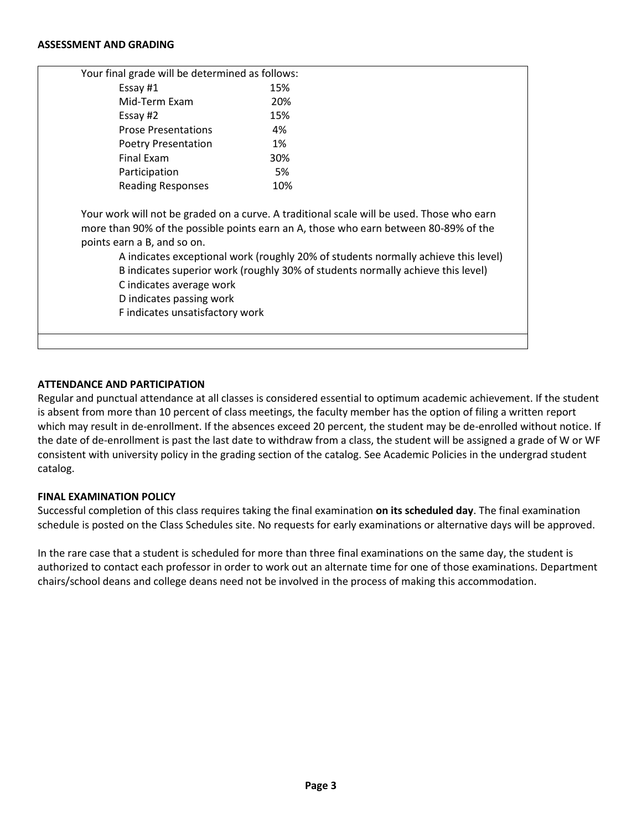#### **ASSESSMENT AND GRADING**

| Your final grade will be determined as follows:                                                                        |                                                                                                                                                                                                                                                                                                                                                            |
|------------------------------------------------------------------------------------------------------------------------|------------------------------------------------------------------------------------------------------------------------------------------------------------------------------------------------------------------------------------------------------------------------------------------------------------------------------------------------------------|
| Essay #1                                                                                                               | 15%                                                                                                                                                                                                                                                                                                                                                        |
| Mid-Term Exam                                                                                                          | 20%                                                                                                                                                                                                                                                                                                                                                        |
| Essay #2                                                                                                               | 15%                                                                                                                                                                                                                                                                                                                                                        |
| <b>Prose Presentations</b>                                                                                             | 4%                                                                                                                                                                                                                                                                                                                                                         |
| <b>Poetry Presentation</b>                                                                                             | 1%                                                                                                                                                                                                                                                                                                                                                         |
| <b>Final Exam</b>                                                                                                      | 30%                                                                                                                                                                                                                                                                                                                                                        |
| Participation                                                                                                          | 5%                                                                                                                                                                                                                                                                                                                                                         |
| <b>Reading Responses</b>                                                                                               | 10%                                                                                                                                                                                                                                                                                                                                                        |
| points earn a B, and so on.<br>C indicates average work<br>D indicates passing work<br>F indicates unsatisfactory work | Your work will not be graded on a curve. A traditional scale will be used. Those who earn<br>more than 90% of the possible points earn an A, those who earn between 80-89% of the<br>A indicates exceptional work (roughly 20% of students normally achieve this level)<br>B indicates superior work (roughly 30% of students normally achieve this level) |
|                                                                                                                        |                                                                                                                                                                                                                                                                                                                                                            |

### **ATTENDANCE AND PARTICIPATION**

Regular and punctual attendance at all classes is considered essential to optimum academic achievement. If the student is absent from more than 10 percent of class meetings, the faculty member has the option of filing a written report which may result in de-enrollment. If the absences exceed 20 percent, the student may be de-enrolled without notice. If the date of de-enrollment is past the last date to withdraw from a class, the student will be assigned a grade of W or WF consistent with university policy in the grading section of the catalog. See Academic Policies in the undergrad student catalog.

### **FINAL EXAMINATION POLICY**

Successful completion of this class requires taking the final examination **on its scheduled day**. The final examination schedule is posted on the Class Schedules site. No requests for early examinations or alternative days will be approved.

In the rare case that a student is scheduled for more than three final examinations on the same day, the student is authorized to contact each professor in order to work out an alternate time for one of those examinations. Department chairs/school deans and college deans need not be involved in the process of making this accommodation.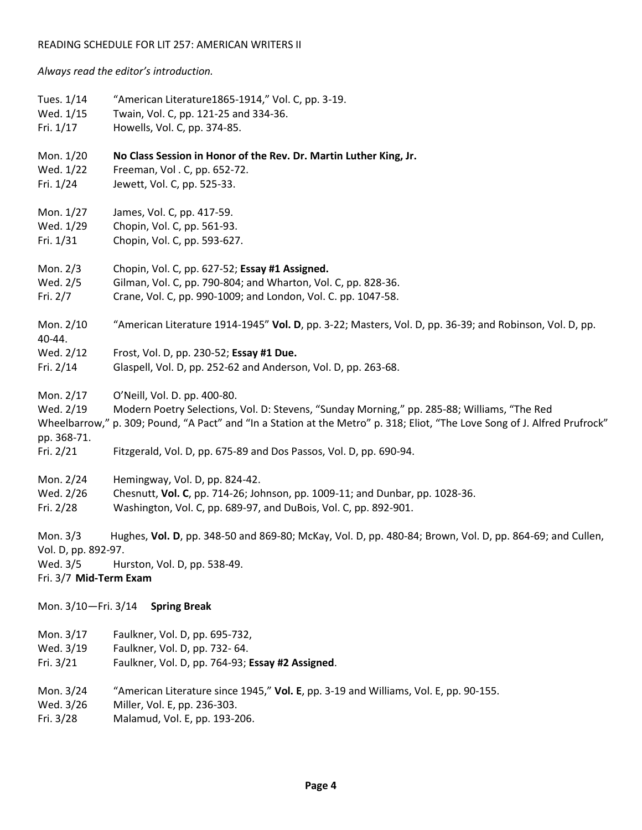#### READING SCHEDULE FOR LIT 257: AMERICAN WRITERS II

*Always read the editor's introduction.*

| Tues. 1/14                         | "American Literature1865-1914," Vol. C, pp. 3-19.                                                                          |
|------------------------------------|----------------------------------------------------------------------------------------------------------------------------|
| Wed. 1/15                          | Twain, Vol. C, pp. 121-25 and 334-36.                                                                                      |
| Fri. 1/17                          | Howells, Vol. C, pp. 374-85.                                                                                               |
| Mon. 1/20                          | No Class Session in Honor of the Rev. Dr. Martin Luther King, Jr.                                                          |
| Wed. 1/22                          | Freeman, Vol. C, pp. 652-72.                                                                                               |
| Fri. 1/24                          | Jewett, Vol. C, pp. 525-33.                                                                                                |
| Mon. 1/27                          | James, Vol. C, pp. 417-59.                                                                                                 |
| Wed. 1/29                          | Chopin, Vol. C, pp. 561-93.                                                                                                |
| Fri. 1/31                          | Chopin, Vol. C, pp. 593-627.                                                                                               |
| Mon. 2/3                           | Chopin, Vol. C, pp. 627-52; Essay #1 Assigned.                                                                             |
| Wed. 2/5                           | Gilman, Vol. C, pp. 790-804; and Wharton, Vol. C, pp. 828-36.                                                              |
| Fri. 2/7                           | Crane, Vol. C, pp. 990-1009; and London, Vol. C. pp. 1047-58.                                                              |
| Mon. 2/10<br>40-44.                | "American Literature 1914-1945" Vol. D, pp. 3-22; Masters, Vol. D, pp. 36-39; and Robinson, Vol. D, pp.                    |
| Wed. 2/12                          | Frost, Vol. D, pp. 230-52; Essay #1 Due.                                                                                   |
| Fri. 2/14                          | Glaspell, Vol. D, pp. 252-62 and Anderson, Vol. D, pp. 263-68.                                                             |
| Mon. 2/17                          | O'Neill, Vol. D. pp. 400-80.                                                                                               |
| Wed. 2/19                          | Modern Poetry Selections, Vol. D: Stevens, "Sunday Morning," pp. 285-88; Williams, "The Red                                |
| pp. 368-71.                        | Wheelbarrow," p. 309; Pound, "A Pact" and "In a Station at the Metro" p. 318; Eliot, "The Love Song of J. Alfred Prufrock" |
| Fri. 2/21                          | Fitzgerald, Vol. D, pp. 675-89 and Dos Passos, Vol. D, pp. 690-94.                                                         |
| Mon. 2/24                          | Hemingway, Vol. D, pp. 824-42.                                                                                             |
| Wed. 2/26                          | Chesnutt, Vol. C, pp. 714-26; Johnson, pp. 1009-11; and Dunbar, pp. 1028-36.                                               |
| Fri. 2/28                          | Washington, Vol. C, pp. 689-97, and DuBois, Vol. C, pp. 892-901.                                                           |
| Mon. 3/3<br>Vol. D, pp. 892-97.    | Hughes, Vol. D, pp. 348-50 and 869-80; McKay, Vol. D, pp. 480-84; Brown, Vol. D, pp. 864-69; and Cullen,                   |
| Wed. 3/5<br>Fri. 3/7 Mid-Term Exam | Hurston, Vol. D, pp. 538-49.                                                                                               |
| Mon. 3/10-Fri. 3/14                | <b>Spring Break</b>                                                                                                        |
| Mon. 3/17                          | Faulkner, Vol. D, pp. 695-732,                                                                                             |
| Wed. 3/19                          | Faulkner, Vol. D, pp. 732-64.                                                                                              |
| Fri. 3/21                          | Faulkner, Vol. D, pp. 764-93; Essay #2 Assigned.                                                                           |
| Mon. 3/24                          | "American Literature since 1945," Vol. E, pp. 3-19 and Williams, Vol. E, pp. 90-155.                                       |
| Wed. 3/26                          | Miller, Vol. E, pp. 236-303.                                                                                               |
| Fri. 3/28                          | Malamud, Vol. E, pp. 193-206.                                                                                              |